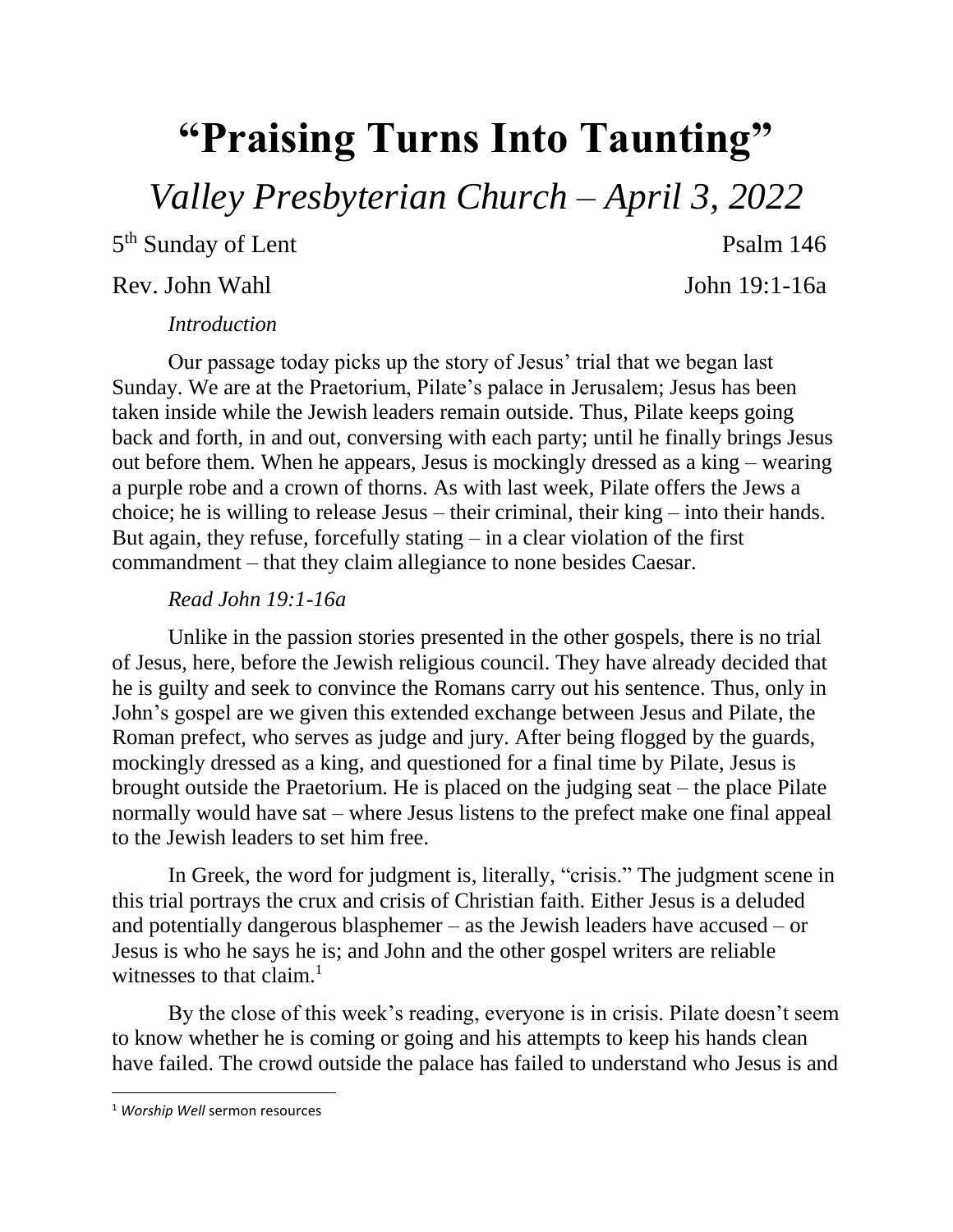## **"Praising Turns Into Taunting"**

*Valley Presbyterian Church – April 3, 2022*

5<sup>th</sup> Sunday of Lent Psalm 146

## Rev. John Wahl John 19:1-16a

## *Introduction*

Our passage today picks up the story of Jesus' trial that we began last Sunday. We are at the Praetorium, Pilate's palace in Jerusalem; Jesus has been taken inside while the Jewish leaders remain outside. Thus, Pilate keeps going back and forth, in and out, conversing with each party; until he finally brings Jesus out before them. When he appears, Jesus is mockingly dressed as a king – wearing a purple robe and a crown of thorns. As with last week, Pilate offers the Jews a choice; he is willing to release Jesus – their criminal, their king – into their hands. But again, they refuse, forcefully stating – in a clear violation of the first commandment – that they claim allegiance to none besides Caesar.

## *Read John 19:1-16a*

Unlike in the passion stories presented in the other gospels, there is no trial of Jesus, here, before the Jewish religious council. They have already decided that he is guilty and seek to convince the Romans carry out his sentence. Thus, only in John's gospel are we given this extended exchange between Jesus and Pilate, the Roman prefect, who serves as judge and jury. After being flogged by the guards, mockingly dressed as a king, and questioned for a final time by Pilate, Jesus is brought outside the Praetorium. He is placed on the judging seat – the place Pilate normally would have sat – where Jesus listens to the prefect make one final appeal to the Jewish leaders to set him free.

In Greek, the word for judgment is, literally, "crisis." The judgment scene in this trial portrays the crux and crisis of Christian faith. Either Jesus is a deluded and potentially dangerous blasphemer – as the Jewish leaders have accused – or Jesus is who he says he is; and John and the other gospel writers are reliable witnesses to that claim. $<sup>1</sup>$ </sup>

By the close of this week's reading, everyone is in crisis. Pilate doesn't seem to know whether he is coming or going and his attempts to keep his hands clean have failed. The crowd outside the palace has failed to understand who Jesus is and

 $\overline{\phantom{a}}$ 

<sup>1</sup> *Worship Well* sermon resources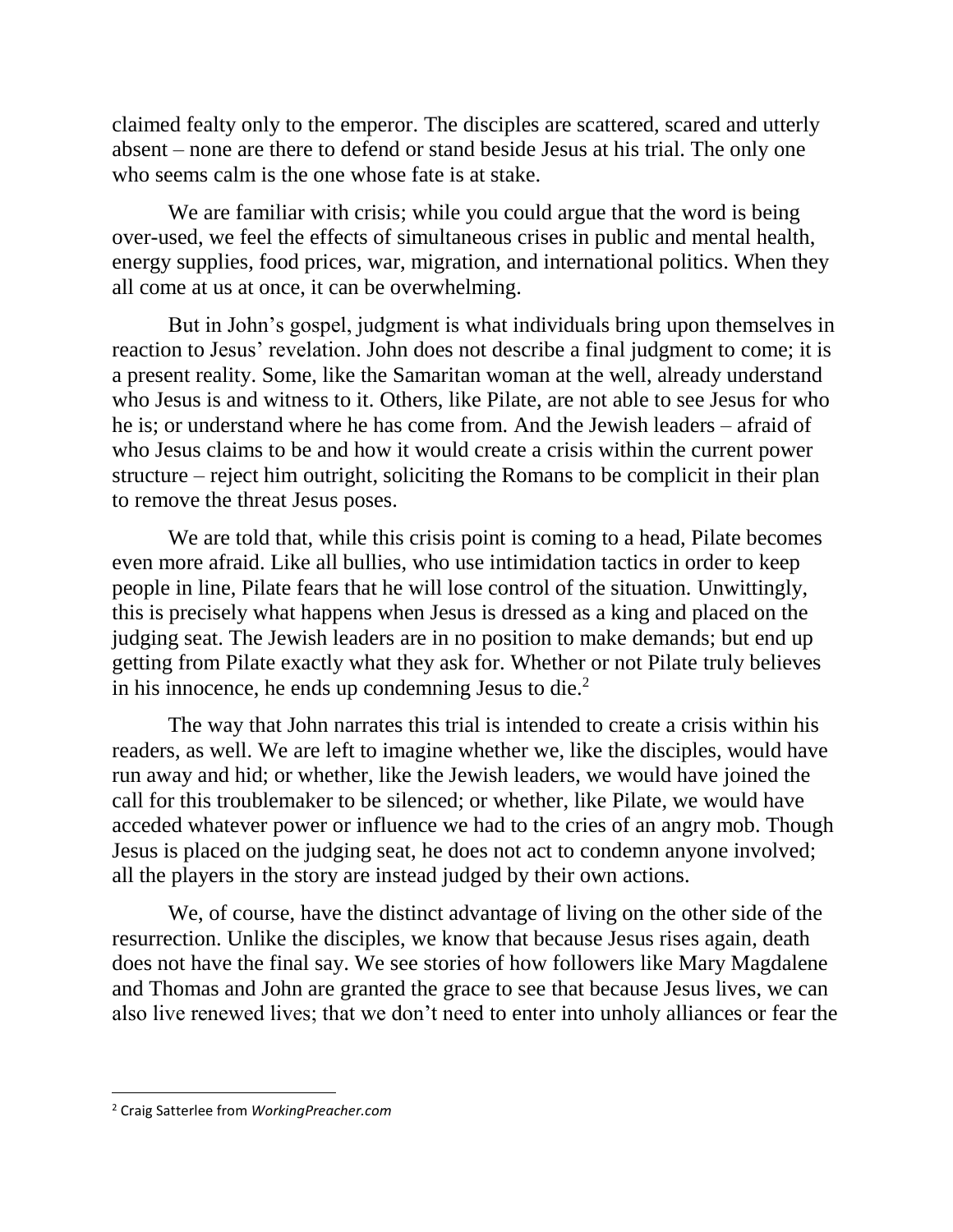claimed fealty only to the emperor. The disciples are scattered, scared and utterly absent – none are there to defend or stand beside Jesus at his trial. The only one who seems calm is the one whose fate is at stake.

We are familiar with crisis; while you could argue that the word is being over-used, we feel the effects of simultaneous crises in public and mental health, energy supplies, food prices, war, migration, and international politics. When they all come at us at once, it can be overwhelming.

But in John's gospel, judgment is what individuals bring upon themselves in reaction to Jesus' revelation. John does not describe a final judgment to come; it is a present reality. Some, like the Samaritan woman at the well, already understand who Jesus is and witness to it. Others, like Pilate, are not able to see Jesus for who he is; or understand where he has come from. And the Jewish leaders – afraid of who Jesus claims to be and how it would create a crisis within the current power structure – reject him outright, soliciting the Romans to be complicit in their plan to remove the threat Jesus poses.

We are told that, while this crisis point is coming to a head, Pilate becomes even more afraid. Like all bullies, who use intimidation tactics in order to keep people in line, Pilate fears that he will lose control of the situation. Unwittingly, this is precisely what happens when Jesus is dressed as a king and placed on the judging seat. The Jewish leaders are in no position to make demands; but end up getting from Pilate exactly what they ask for. Whether or not Pilate truly believes in his innocence, he ends up condemning Jesus to die. $2^2$ 

The way that John narrates this trial is intended to create a crisis within his readers, as well. We are left to imagine whether we, like the disciples, would have run away and hid; or whether, like the Jewish leaders, we would have joined the call for this troublemaker to be silenced; or whether, like Pilate, we would have acceded whatever power or influence we had to the cries of an angry mob. Though Jesus is placed on the judging seat, he does not act to condemn anyone involved; all the players in the story are instead judged by their own actions.

We, of course, have the distinct advantage of living on the other side of the resurrection. Unlike the disciples, we know that because Jesus rises again, death does not have the final say. We see stories of how followers like Mary Magdalene and Thomas and John are granted the grace to see that because Jesus lives, we can also live renewed lives; that we don't need to enter into unholy alliances or fear the

 $\overline{\phantom{a}}$ 

<sup>2</sup> Craig Satterlee from *WorkingPreacher.com*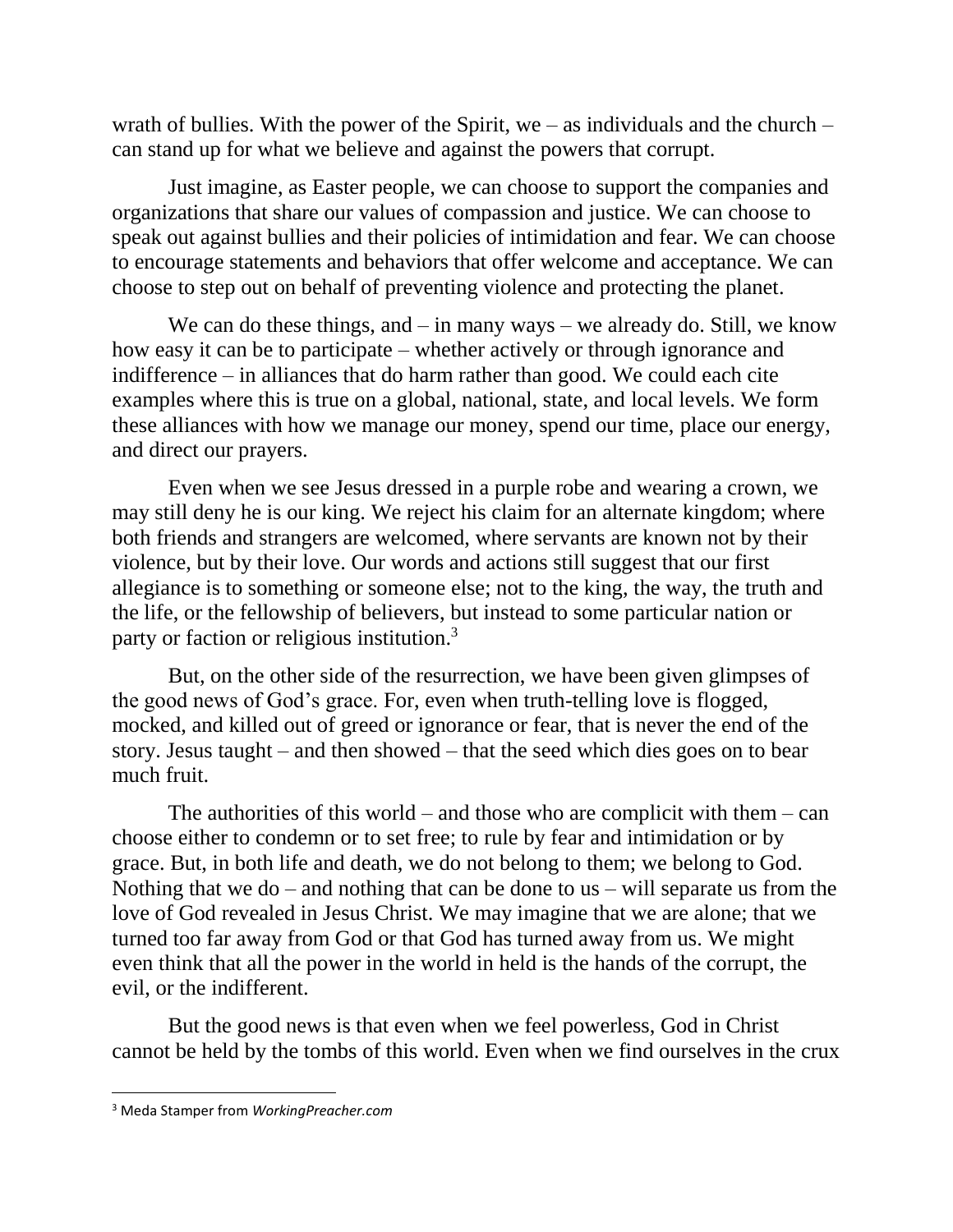wrath of bullies. With the power of the Spirit, we – as individuals and the church – can stand up for what we believe and against the powers that corrupt.

Just imagine, as Easter people, we can choose to support the companies and organizations that share our values of compassion and justice. We can choose to speak out against bullies and their policies of intimidation and fear. We can choose to encourage statements and behaviors that offer welcome and acceptance. We can choose to step out on behalf of preventing violence and protecting the planet.

We can do these things, and  $-$  in many ways  $-$  we already do. Still, we know how easy it can be to participate – whether actively or through ignorance and indifference – in alliances that do harm rather than good. We could each cite examples where this is true on a global, national, state, and local levels. We form these alliances with how we manage our money, spend our time, place our energy, and direct our prayers.

Even when we see Jesus dressed in a purple robe and wearing a crown, we may still deny he is our king. We reject his claim for an alternate kingdom; where both friends and strangers are welcomed, where servants are known not by their violence, but by their love. Our words and actions still suggest that our first allegiance is to something or someone else; not to the king, the way, the truth and the life, or the fellowship of believers, but instead to some particular nation or party or faction or religious institution.<sup>3</sup>

But, on the other side of the resurrection, we have been given glimpses of the good news of God's grace. For, even when truth-telling love is flogged, mocked, and killed out of greed or ignorance or fear, that is never the end of the story. Jesus taught – and then showed – that the seed which dies goes on to bear much fruit.

The authorities of this world – and those who are complicit with them – can choose either to condemn or to set free; to rule by fear and intimidation or by grace. But, in both life and death, we do not belong to them; we belong to God. Nothing that we do – and nothing that can be done to us – will separate us from the love of God revealed in Jesus Christ. We may imagine that we are alone; that we turned too far away from God or that God has turned away from us. We might even think that all the power in the world in held is the hands of the corrupt, the evil, or the indifferent.

But the good news is that even when we feel powerless, God in Christ cannot be held by the tombs of this world. Even when we find ourselves in the crux

 $\overline{\phantom{a}}$ 

<sup>3</sup> Meda Stamper from *WorkingPreacher.com*